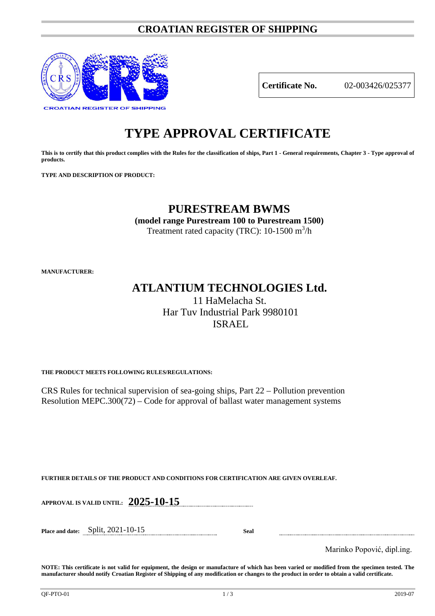### **CROATIAN REGISTER OF SHIPPING**



**Certificate No.** 02-003426/025377

# **TYPE APPROVAL CERTIFICATE**

**This is to certify that this product complies with the Rules for the classification of ships, Part 1 - General requirements, Chapter 3 - Type approval of products.**

**TYPE AND DESCRIPTION OF PRODUCT:** 

## **PURESTREAM BWMS**

**(model range Purestream 100 to Purestream 1500)**

Treatment rated capacity (TRC):  $10-1500$  m<sup>3</sup>/h

**MANUFACTURER:**

## **ATLANTIUM TECHNOLOGIES Ltd.** 11 HaMelacha St.

Har Tuv Industrial Park 9980101 ISRAEL

**THE PRODUCT MEETS FOLLOWING RULES/REGULATIONS:**

CRS Rules for technical supervision of sea-going ships, Part 22 – Pollution prevention Resolution MEPC.300(72) – Code for approval of ballast water management systems

**FURTHER DETAILS OF THE PRODUCT AND CONDITIONS FOR CERTIFICATION ARE GIVEN OVERLEAF.**

**APPROVAL IS VALID UNTIL: 2025-10-15**

**Place and date:** Split, 2021-10-15 **Seal**

Marinko Popović, dipl.ing.

**NOTE: This certificate is not valid for equipment, the design or manufacture of which has been varied or modified from the specimen tested. The manufacturer should notify Croatian Register of Shipping of any modification or changes to the product in order to obtain a valid certificate.**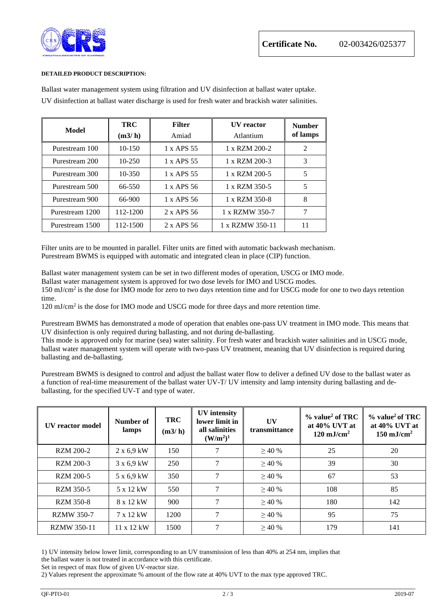

#### **DETAILED PRODUCT DESCRIPTION:**

| Model           | TRC<br>(m3/h) | <b>Filter</b><br>Amiad | <b>IIV</b> reactor<br>Atlantium | <b>Number</b><br>of lamps |
|-----------------|---------------|------------------------|---------------------------------|---------------------------|
| Purestream 100  | $10 - 150$    | 1 x APS 55             | 1 x RZM 200-2                   | 2                         |
| Purestream 200  | $10 - 250$    | 1 x APS 55             | 1 x RZM 200-3                   | 3                         |
| Purestream 300  | 10-350        | 1 x APS 55             | 1 x RZM 200-5                   | 5                         |
| Purestream 500  | 66-550        | 1 x APS 56             | 1 x RZM 350-5                   | 5                         |
| Purestream 900  | 66-900        | $1 x$ APS 56           | 1 x RZM 350-8                   | 8                         |
| Purestream 1200 | 112-1200      | $2 \times$ APS 56      | 1 x RZMW 350-7                  | 7                         |
| Purestream 1500 | 112-1500      | 2 x APS 56             | 1 x RZMW 350-11                 | 11                        |

Ballast water management system using filtration and UV disinfection at ballast water uptake. UV disinfection at ballast water discharge is used for fresh water and brackish water salinities.

Filter units are to be mounted in parallel. Filter units are fitted with automatic backwash mechanism. Purestream BWMS is equipped with automatic and integrated clean in place (CIP) function.

Ballast water management system can be set in two different modes of operation, USCG or IMO mode.

Ballast water management system is approved for two dose levels for IMO and USCG modes.

150 mJ/cm2 is the dose for IMO mode for zero to two days retention time and for USCG mode for one to two days retention time.

120 mJ/cm2 is the dose for IMO mode and USCG mode for three days and more retention time.

Purestream BWMS has demonstrated a mode of operation that enables one-pass UV treatment in IMO mode. This means that UV disinfection is only required during ballasting, and not during de-ballasting.

This mode is approved only for marine (sea) water salinity. For fresh water and brackish water salinities and in USCG mode, ballast water management system will operate with two-pass UV treatment, meaning that UV disinfection is required during ballasting and de-ballasting.

Purestream BWMS is designed to control and adjust the ballast water flow to deliver a defined UV dose to the ballast water as a function of real-time measurement of the ballast water UV-T/ UV intensity and lamp intensity during ballasting and deballasting, for the specified UV-T and type of water.

| <b>IIV</b> reactor model | Number of<br>lamps | <b>TRC</b><br>(m3/h) | <b>UV</b> intensity<br>lower limit in<br>all salinities<br>(W/m <sup>2</sup> ) <sup>1</sup> | UV<br>transmittance | $%$ value <sup>2</sup> of TRC<br>at $40\%$ UVT at<br>$120 \text{ mJ/cm}^2$ | $%$ value <sup>2</sup> of TRC<br>at $40\%$ UVT at<br>$150 \text{ mJ/cm}^2$ |
|--------------------------|--------------------|----------------------|---------------------------------------------------------------------------------------------|---------------------|----------------------------------------------------------------------------|----------------------------------------------------------------------------|
| <b>RZM 200-2</b>         | $2 \times 6.9$ kW  | 150                  | 7                                                                                           | >40%                | 25                                                                         | 20                                                                         |
| RZM 200-3                | 3 x 6,9 kW         | 250                  | 7                                                                                           | >40%                | 39                                                                         | 30                                                                         |
| RZM 200-5                | 5 x 6,9 kW         | 350                  | 7                                                                                           | >40%                | 67                                                                         | 53                                                                         |
| <b>RZM 350-5</b>         | 5 x 12 kW          | 550                  | 7                                                                                           | >40%                | 108                                                                        | 85                                                                         |
| <b>RZM 350-8</b>         | 8 x 12 kW          | 900                  | 7                                                                                           | >40%                | 180                                                                        | 142                                                                        |
| <b>RZMW 350-7</b>        | 7 x 12 kW          | 1200                 | 7                                                                                           | >40%                | 95                                                                         | 75                                                                         |
| <b>RZMW 350-11</b>       | 11 x 12 kW         | 1500                 | 7                                                                                           | >40%                | 179                                                                        | 141                                                                        |

1) UV intensity below lower limit, corresponding to an UV transmission of less than 40% at 254 nm, implies that the ballast water is not treated in accordance with this certificate.

Set in respect of max flow of given UV-reactor size.

2) Values represent the approximate % amount of the flow rate at 40% UVT to the max type approved TRC.